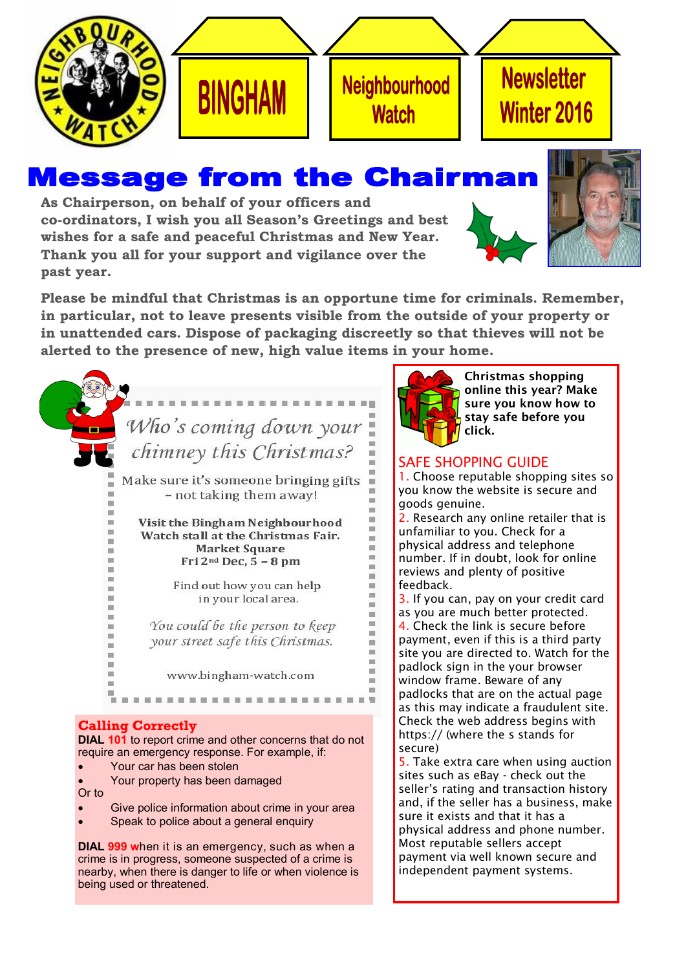





# **Newsletter** Winter 2016

## **Message from the Chairma**

**As Chairperson, on behalf of your officers and co-ordinators, I wish you all Season's Greetings and best wishes for a safe and peaceful Christmas and New Year. Thank you all for your support and vigilance over the past year.** 





**Please be mindful that Christmas is an opportune time for criminals. Remember, in particular, not to leave presents visible from the outside of your property or in unattended cars. Dispose of packaging discreetly so that thieves will not be alerted to the presence of new, high value items in your home.**

# Who's coming down your chimney this Christmas?

Make sure it's someone bringing gifts - not taking them away!

Visit the Bingham Neighbourhood Watch stall at the Christmas Fair. **Market Square** Fri  $2^{nd}$  Dec,  $5 - 8$  pm

> Find out how you can help in your local area.

You could be the person to keep your street safe this Christmas.

www.bingham-watch.com

#### **Calling Correctly**

×

×

**DIAL 101** to report crime and other concerns that do not require an emergency response. For example, if:

- Your car has been stolen
- Your property has been damaged Or to
- Give police information about crime in your area
- Speak to police about a general enquiry

**DIAL 999 w**hen it is an emergency, such as when a crime is in progress, someone suspected of a crime is nearby, when there is danger to life or when violence is being used or threatened.



m

i.

ú

ė i.

in) ė

ė i.

m ú ü

is.

**in** is. is.

in)

m

Christmas shopping online this year? Make sure you know how to stay safe before you click.

### SAFE SHOPPING GUIDE

1. Choose reputable shopping sites so you know the website is secure and goods genuine.

2. Research any online retailer that is unfamiliar to you. Check for a physical address and telephone number. If in doubt, look for online reviews and plenty of positive feedback.

3. If you can, pay on your credit card as you are much better protected. 4. Check the link is secure before payment, even if this is a third party site you are directed to. Watch for the padlock sign in the your browser window frame. Beware of any padlocks that are on the actual page as this may indicate a fraudulent site. Check the web address begins with https:// (where the s stands for secure)

5. Take extra care when using auction sites such as eBay - check out the seller's rating and transaction history and, if the seller has a business, make sure it exists and that it has a physical address and phone number. Most reputable sellers accept payment via well known secure and independent payment systems.